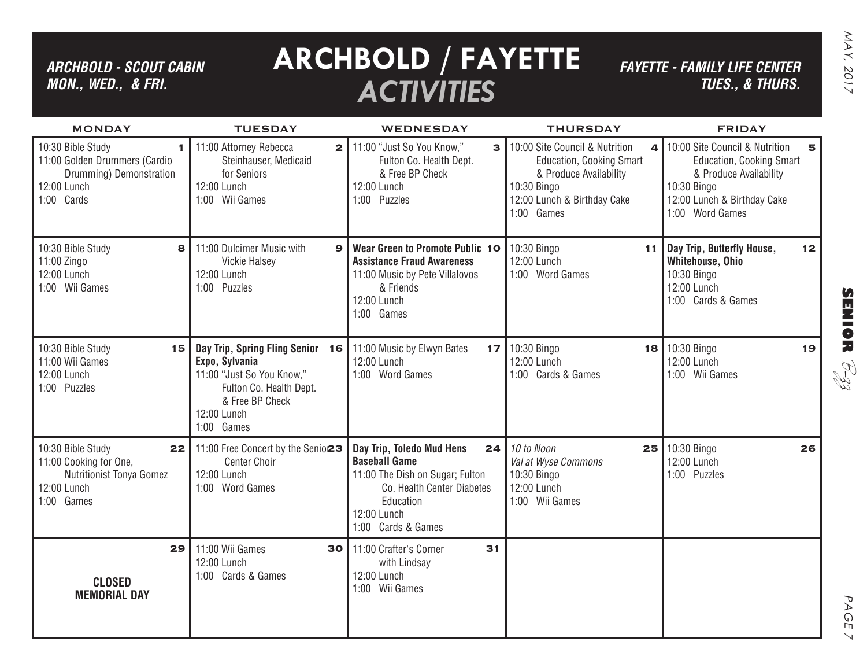### *ARCHBOLD - SCOUT CABIN MON., WED., & FRI.*

# **ARCHBOLD / FAYETTE** *ACTIVITIES*

*FAYETTE - FAMILY LIFE CENTER TUES., & THURS.*

| <b>Service Service</b><br>ŕ<br>7 |
|----------------------------------|
| ⋍<br>٦                           |
|                                  |

PAGE 7

 $\vee$ 

PAGE

| <b>MONDAY</b>                                                                                                              | <b>TUESDAY</b>                                                                                                                                             | <b>WEDNESDAY</b>                                                                                                                                                           | <b>THURSDAY</b>                                                                                                                                                     | <b>FRIDAY</b>                                                                                                                                                                  |
|----------------------------------------------------------------------------------------------------------------------------|------------------------------------------------------------------------------------------------------------------------------------------------------------|----------------------------------------------------------------------------------------------------------------------------------------------------------------------------|---------------------------------------------------------------------------------------------------------------------------------------------------------------------|--------------------------------------------------------------------------------------------------------------------------------------------------------------------------------|
| 10:30 Bible Study<br>$\mathbf{I}$<br>11:00 Golden Drummers (Cardio<br>Drumming) Demonstration<br>12:00 Lunch<br>1:00 Cards | 11:00 Attorney Rebecca<br>$\overline{2}$<br>Steinhauser, Medicaid<br>for Seniors<br>12:00 Lunch<br>1:00 Wii Games                                          | 11:00 "Just So You Know,"<br>$\mathbf{B}$<br>Fulton Co. Health Dept.<br>& Free BP Check<br>12:00 Lunch<br>1:00 Puzzles                                                     | 10:00 Site Council & Nutrition<br>$\Delta$<br><b>Education, Cooking Smart</b><br>& Produce Availability<br>10:30 Bingo<br>12:00 Lunch & Birthday Cake<br>1:00 Games | 10:00 Site Council & Nutrition<br>5 <sup>1</sup><br><b>Education, Cooking Smart</b><br>& Produce Availability<br>10:30 Bingo<br>12:00 Lunch & Birthday Cake<br>1:00 Word Games |
| 10:30 Bible Study<br>8<br>11:00 Zingo<br>12:00 Lunch<br>1:00 Wii Games                                                     | 11:00 Dulcimer Music with<br>$\mathbf{9}$<br><b>Vickie Halsey</b><br>12:00 Lunch<br>1:00 Puzzles                                                           | Wear Green to Promote Public 10<br><b>Assistance Fraud Awareness</b><br>11:00 Music by Pete Villalovos<br>& Friends<br>12:00 Lunch<br>1:00 Games                           | 10:30 Bingo<br>11<br>12:00 Lunch<br>1:00 Word Games                                                                                                                 | Day Trip, Butterfly House,<br>12<br>Whitehouse, Ohio<br>10:30 Bingo<br>12:00 Lunch<br>1:00 Cards & Games                                                                       |
| 10:30 Bible Study<br>15<br>11:00 Wii Games<br>12:00 Lunch<br>1:00 Puzzles                                                  | Day Trip, Spring Fling Senior 16<br>Expo, Sylvania<br>11:00 "Just So You Know,"<br>Fulton Co. Health Dept.<br>& Free BP Check<br>12:00 Lunch<br>1:00 Games | 11:00 Music by Elwyn Bates<br>17<br>12:00 Lunch<br>1:00 Word Games                                                                                                         | 10:30 Bingo<br>12:00 Lunch<br>1:00 Cards & Games                                                                                                                    | 18 10:30 Bingo<br>19<br>12:00 Lunch<br>1:00 Wii Games                                                                                                                          |
| 10:30 Bible Study<br>22<br>11:00 Cooking for One,<br><b>Nutritionist Tonya Gomez</b><br>12:00 Lunch<br>1:00 Games          | 11:00 Free Concert by the Senio <sub>23</sub><br><b>Center Choir</b><br>12:00 Lunch<br>1:00 Word Games                                                     | Day Trip, Toledo Mud Hens<br>24<br><b>Baseball Game</b><br>11:00 The Dish on Sugar; Fulton<br>Co. Health Center Diabetes<br>Education<br>12:00 Lunch<br>1:00 Cards & Games | 10 to Noon<br>25<br>Val at Wyse Commons<br>10:30 Bingo<br>12:00 Lunch<br>1:00 Wii Games                                                                             | 10:30 Bingo<br>26<br>12:00 Lunch<br>1:00 Puzzles                                                                                                                               |
| 29<br><b>CLOSED</b><br><b>MEMORIAL DAY</b>                                                                                 | 11:00 Wii Games<br>30<br>12:00 Lunch<br>1:00 Cards & Games                                                                                                 | 31<br>11:00 Crafter's Corner<br>with Lindsay<br>12:00 Lunch<br>1:00 Wii Games                                                                                              |                                                                                                                                                                     |                                                                                                                                                                                |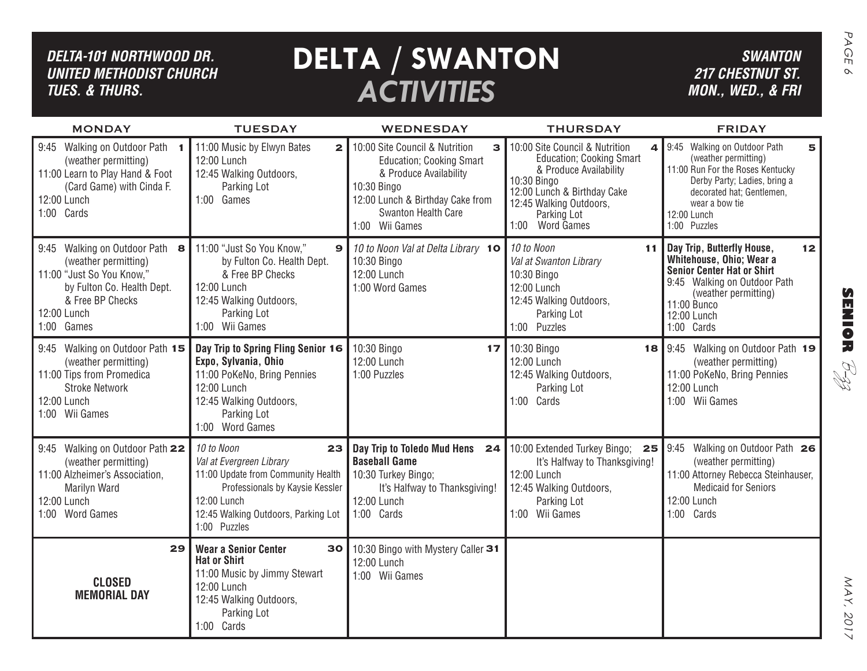| DELTA-101 NORTHWOOD DR.<br><b>UNITED METHODIST CHURCH</b><br><b>TUES. &amp; THURS.</b>                                                                             |                                                                                                                                                                                             | <b>DELTA / SWANTON</b><br><b>ACTIVITIES</b>                                                                                                            |                                                                                                                                                                      | <b>SWANTON</b><br><b>217 CHESTNUT ST.</b><br>MON., WED., & FRI                                                                                                                                        | PAGE<br>$\infty$                      |
|--------------------------------------------------------------------------------------------------------------------------------------------------------------------|---------------------------------------------------------------------------------------------------------------------------------------------------------------------------------------------|--------------------------------------------------------------------------------------------------------------------------------------------------------|----------------------------------------------------------------------------------------------------------------------------------------------------------------------|-------------------------------------------------------------------------------------------------------------------------------------------------------------------------------------------------------|---------------------------------------|
| <b>MONDAY</b><br>9:45 Walking on Outdoor Path 1                                                                                                                    | <b>TUESDAY</b><br>11:00 Music by Elwyn Bates<br>$\mathbf{2}$                                                                                                                                | <b>WEDNESDAY</b><br>10:00 Site Council & Nutrition<br>3                                                                                                | <b>THURSDAY</b><br>10:00 Site Council & Nutrition<br>4                                                                                                               | <b>FRIDAY</b><br>9:45 Walking on Outdoor Path<br>5                                                                                                                                                    |                                       |
| (weather permitting)<br>11:00 Learn to Play Hand & Foot<br>(Card Game) with Cinda F.<br>12:00 Lunch<br>1:00 Cards                                                  | 12:00 Lunch<br>12:45 Walking Outdoors,<br>Parking Lot<br>1:00 Games                                                                                                                         | <b>Education</b> ; Cooking Smart<br>& Produce Availability<br>10:30 Bingo<br>12:00 Lunch & Birthday Cake from<br>Swanton Health Care<br>1:00 Wii Games | <b>Education; Cooking Smart</b><br>& Produce Availability<br>10:30 Bingo<br>12:00 Lunch & Birthday Cake<br>12:45 Walking Outdoors,<br>Parking Lot<br>1:00 Word Games | (weather permitting)<br>11:00 Run For the Roses Kentucky<br>Derby Party; Ladies, bring a<br>decorated hat; Gentlemen,<br>wear a bow tie<br>12:00 Lunch<br>1:00 Puzzles                                |                                       |
| 9:45 Walking on Outdoor Path 8<br>(weather permitting)<br>11:00 "Just So You Know,"<br>by Fulton Co. Health Dept.<br>& Free BP Checks<br>12:00 Lunch<br>1:00 Games | 11:00 "Just So You Know,"<br>9<br>by Fulton Co. Health Dept.<br>& Free BP Checks<br>12:00 Lunch<br>12:45 Walking Outdoors,<br>Parking Lot<br>1:00 Wii Games                                 | 10 to Noon Val at Delta Library 10<br>10:30 Bingo<br>12:00 Lunch<br>1:00 Word Games                                                                    | 10 to Noon<br>11<br>Val at Swanton Library<br>10:30 Bingo<br>12:00 Lunch<br>12:45 Walking Outdoors,<br>Parking Lot<br>1:00 Puzzles                                   | Day Trip, Butterfly House,<br>12<br>Whitehouse, Ohio; Wear a<br><b>Senior Center Hat or Shirt</b><br>9:45 Walking on Outdoor Path<br>(weather permitting)<br>11:00 Bunco<br>12:00 Lunch<br>1:00 Cards | $\boldsymbol{\Omega}$<br><b>MNIOR</b> |
| 9:45 Walking on Outdoor Path 15<br>(weather permitting)<br>11:00 Tips from Promedica<br><b>Stroke Network</b><br>12:00 Lunch<br>1:00 Wii Games                     | Day Trip to Spring Fling Senior 16<br>Expo, Sylvania, Ohio<br>11:00 PoKeNo, Bring Pennies<br>12:00 Lunch<br>12:45 Walking Outdoors,<br>Parking Lot<br>1:00 Word Games                       | 10:30 Bingo<br>17 <sub>l</sub><br>12:00 Lunch<br>1:00 Puzzles                                                                                          | 10:30 Bingo<br>12:00 Lunch<br>12:45 Walking Outdoors,<br>Parking Lot<br>1:00 Cards                                                                                   | 18 9:45 Walking on Outdoor Path 19<br>(weather permitting)<br>11:00 PoKeNo, Bring Pennies<br>12:00 Lunch<br>1:00 Wii Games                                                                            | RI<br>H                               |
| 9:45 Walking on Outdoor Path 22<br>(weather permitting)<br>11:00 Alzheimer's Association,<br><b>Marilyn Ward</b><br>12:00 Lunch<br>1:00 Word Games                 | 10 to Noon<br>23<br>Val at Evergreen Library<br>11:00 Update from Community Health<br>Professionals by Kaysie Kessler<br>12:00 Lunch<br>12:45 Walking Outdoors, Parking Lot<br>1:00 Puzzles | Day Trip to Toledo Mud Hens 24<br><b>Baseball Game</b><br>10:30 Turkey Bingo;<br>It's Halfway to Thanksgiving!<br>12:00 Lunch<br>1:00 Cards            | 10:00 Extended Turkey Bingo; 25<br>It's Halfway to Thanksgiving!<br>12:00 Lunch<br>12:45 Walking Outdoors,<br>Parking Lot<br>1:00 Wii Games                          | Walking on Outdoor Path 26<br>9:45<br>(weather permitting)<br>11:00 Attorney Rebecca Steinhauser,<br><b>Medicaid for Seniors</b><br>12:00 Lunch<br>1:00 Cards                                         |                                       |
| 29<br><b>CLOSED</b><br><b>MEMORIAL DAY</b>                                                                                                                         | <b>Wear a Senior Center</b><br><b>Hat or Shirt</b><br>11:00 Music by Jimmy Stewart<br>12:00 Lunch<br>12:45 Walking Outdoors,<br>Parking Lot<br>1:00 Cards                                   | 30   10:30 Bingo with Mystery Caller 31<br>12:00 Lunch<br>1:00 Wii Games                                                                               |                                                                                                                                                                      |                                                                                                                                                                                                       | MAX,<br>2017                          |